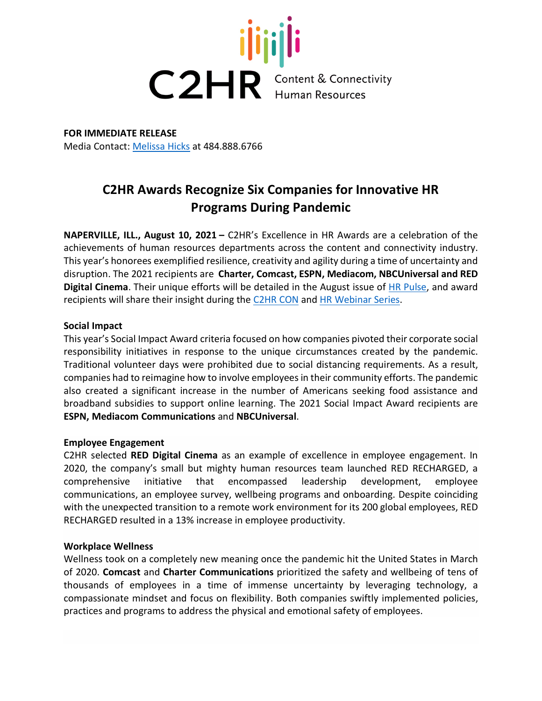

**FOR IMMEDIATE RELEASE** Media Contact: [Melissa Hicks](mailto:mhicks@mosaicmarketing.com) at 484.888.6766

# **C2HR Awards Recognize Six Companies for Innovative HR Programs During Pandemic**

**NAPERVILLE, ILL., August 10, 2021 –** C2HR's Excellence in HR Awards are a celebration of the achievements of human resources departments across the content and connectivity industry. This year's honorees exemplified resilience, creativity and agility during a time of uncertainty and disruption. The 2021 recipients are **Charter, Comcast, ESPN, Mediacom, NBCUniversal and RED Digital Cinema**. Their unique efforts will be detailed in the August issue of [HR Pulse,](https://c2hr.org/hr-pulse/) and award recipients will share their insight during the [C2HR CON](http://www.c2hrcon.org/) and [HR Webinar Series.](https://c2hr.org/events/webinar-series/)

## **Social Impact**

This year's Social Impact Award criteria focused on how companies pivoted their corporate social responsibility initiatives in response to the unique circumstances created by the pandemic. Traditional volunteer days were prohibited due to social distancing requirements. As a result, companies had to reimagine how to involve employees in their community efforts. The pandemic also created a significant increase in the number of Americans seeking food assistance and broadband subsidies to support online learning. The 2021 Social Impact Award recipients are **ESPN, Mediacom Communications** and **NBCUniversal**.

#### **Employee Engagement**

C2HR selected **RED Digital Cinema** as an example of excellence in employee engagement. In 2020, the company's small but mighty human resources team launched RED RECHARGED, a comprehensive initiative that encompassed leadership development, employee communications, an employee survey, wellbeing programs and onboarding. Despite coinciding with the unexpected transition to a remote work environment for its 200 global employees, RED RECHARGED resulted in a 13% increase in employee productivity.

#### **Workplace Wellness**

Wellness took on a completely new meaning once the pandemic hit the United States in March of 2020. **Comcast** and **Charter Communications** prioritized the safety and wellbeing of tens of thousands of employees in a time of immense uncertainty by leveraging technology, a compassionate mindset and focus on flexibility. Both companies swiftly implemented policies, practices and programs to address the physical and emotional safety of employees.